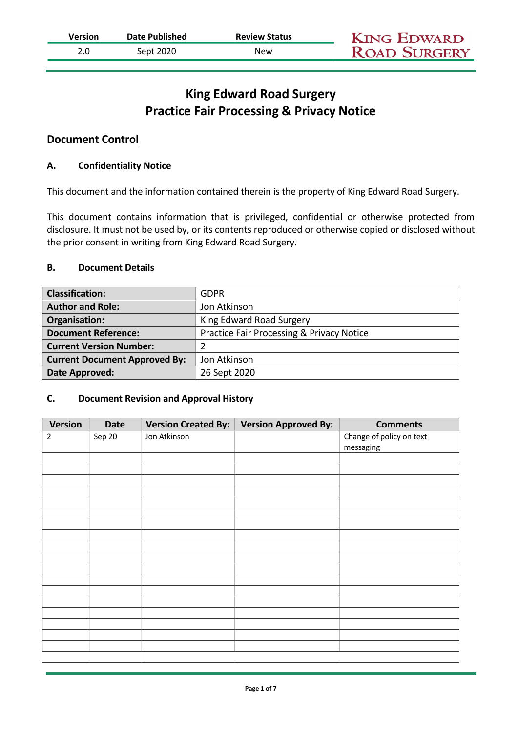| Version | Date Published | <b>Review Status</b> | <b>KING EDWARD</b>  |
|---------|----------------|----------------------|---------------------|
|         | Sept 2020      | New                  | <b>ROAD SURGERY</b> |

# King Edward Road Surgery Practice Fair Processing & Privacy Notice

## Document Control

#### A. Confidentiality Notice

This document and the information contained therein is the property of King Edward Road Surgery.

This document contains information that is privileged, confidential or otherwise protected from disclosure. It must not be used by, or its contents reproduced or otherwise copied or disclosed without the prior consent in writing from King Edward Road Surgery.

#### B. Document Details

| <b>Classification:</b>               | <b>GDPR</b>                                          |  |
|--------------------------------------|------------------------------------------------------|--|
| <b>Author and Role:</b>              | Jon Atkinson                                         |  |
| Organisation:                        | King Edward Road Surgery                             |  |
| <b>Document Reference:</b>           | <b>Practice Fair Processing &amp; Privacy Notice</b> |  |
| <b>Current Version Number:</b>       |                                                      |  |
| <b>Current Document Approved By:</b> | Jon Atkinson                                         |  |
| Date Approved:                       | 26 Sept 2020                                         |  |

#### C. Document Revision and Approval History

| <b>Version</b> | <b>Date</b> | <b>Version Created By:</b> | <b>Version Approved By:</b> | <b>Comments</b>          |
|----------------|-------------|----------------------------|-----------------------------|--------------------------|
| $\overline{2}$ | Sep 20      | Jon Atkinson               |                             | Change of policy on text |
|                |             |                            |                             | messaging                |
|                |             |                            |                             |                          |
|                |             |                            |                             |                          |
|                |             |                            |                             |                          |
|                |             |                            |                             |                          |
|                |             |                            |                             |                          |
|                |             |                            |                             |                          |
|                |             |                            |                             |                          |
|                |             |                            |                             |                          |
|                |             |                            |                             |                          |
|                |             |                            |                             |                          |
|                |             |                            |                             |                          |
|                |             |                            |                             |                          |
|                |             |                            |                             |                          |
|                |             |                            |                             |                          |
|                |             |                            |                             |                          |
|                |             |                            |                             |                          |
|                |             |                            |                             |                          |
|                |             |                            |                             |                          |
|                |             |                            |                             |                          |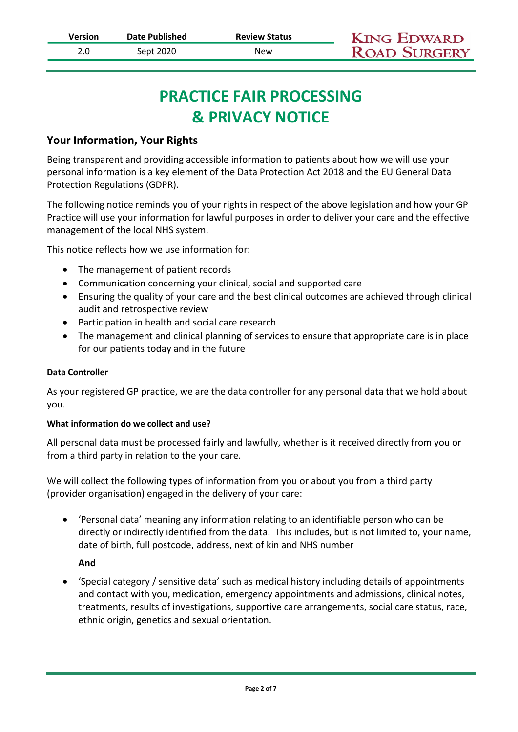# PRACTICE FAIR PROCESSING & PRIVACY NOTICE

# Your Information, Your Rights

Being transparent and providing accessible information to patients about how we will use your personal information is a key element of the Data Protection Act 2018 and the EU General Data Protection Regulations (GDPR).

The following notice reminds you of your rights in respect of the above legislation and how your GP Practice will use your information for lawful purposes in order to deliver your care and the effective management of the local NHS system.

This notice reflects how we use information for:

- The management of patient records
- Communication concerning your clinical, social and supported care
- Ensuring the quality of your care and the best clinical outcomes are achieved through clinical audit and retrospective review
- Participation in health and social care research
- The management and clinical planning of services to ensure that appropriate care is in place for our patients today and in the future

#### Data Controller

As your registered GP practice, we are the data controller for any personal data that we hold about you.

#### What information do we collect and use?

All personal data must be processed fairly and lawfully, whether is it received directly from you or from a third party in relation to the your care.

We will collect the following types of information from you or about you from a third party (provider organisation) engaged in the delivery of your care:

 'Personal data' meaning any information relating to an identifiable person who can be directly or indirectly identified from the data. This includes, but is not limited to, your name, date of birth, full postcode, address, next of kin and NHS number

#### And

 'Special category / sensitive data' such as medical history including details of appointments and contact with you, medication, emergency appointments and admissions, clinical notes, treatments, results of investigations, supportive care arrangements, social care status, race, ethnic origin, genetics and sexual orientation.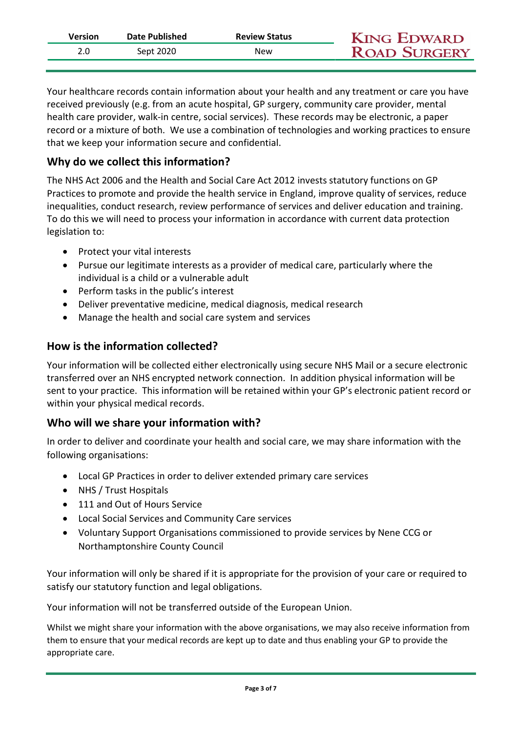| Date Published<br><b>Review Status</b><br>Version | <b>KING EDWARD</b>  |  |
|---------------------------------------------------|---------------------|--|
| Sept 2020<br>New                                  | <b>ROAD SURGERY</b> |  |

Your healthcare records contain information about your health and any treatment or care you have received previously (e.g. from an acute hospital, GP surgery, community care provider, mental health care provider, walk-in centre, social services). These records may be electronic, a paper record or a mixture of both. We use a combination of technologies and working practices to ensure that we keep your information secure and confidential.

# Why do we collect this information?

The NHS Act 2006 and the Health and Social Care Act 2012 invests statutory functions on GP Practices to promote and provide the health service in England, improve quality of services, reduce inequalities, conduct research, review performance of services and deliver education and training. To do this we will need to process your information in accordance with current data protection legislation to:

- Protect your vital interests
- Pursue our legitimate interests as a provider of medical care, particularly where the individual is a child or a vulnerable adult
- Perform tasks in the public's interest
- Deliver preventative medicine, medical diagnosis, medical research
- Manage the health and social care system and services

# How is the information collected?

Your information will be collected either electronically using secure NHS Mail or a secure electronic transferred over an NHS encrypted network connection. In addition physical information will be sent to your practice. This information will be retained within your GP's electronic patient record or within your physical medical records.

# Who will we share your information with?

In order to deliver and coordinate your health and social care, we may share information with the following organisations:

- Local GP Practices in order to deliver extended primary care services
- NHS / Trust Hospitals
- 111 and Out of Hours Service
- Local Social Services and Community Care services
- Voluntary Support Organisations commissioned to provide services by Nene CCG or Northamptonshire County Council

Your information will only be shared if it is appropriate for the provision of your care or required to satisfy our statutory function and legal obligations.

Your information will not be transferred outside of the European Union.

Whilst we might share your information with the above organisations, we may also receive information from them to ensure that your medical records are kept up to date and thus enabling your GP to provide the appropriate care.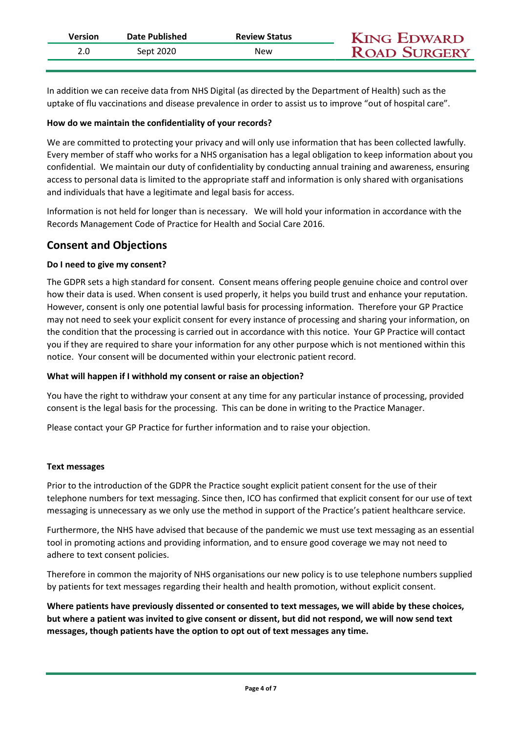| Version | Date Published | <b>Review Status</b> | <b>KING EDWARD</b>  |  |
|---------|----------------|----------------------|---------------------|--|
|         | Sept 2020      | New                  | <b>ROAD SURGERY</b> |  |
|         |                |                      |                     |  |

In addition we can receive data from NHS Digital (as directed by the Department of Health) such as the uptake of flu vaccinations and disease prevalence in order to assist us to improve "out of hospital care".

#### How do we maintain the confidentiality of your records?

We are committed to protecting your privacy and will only use information that has been collected lawfully. Every member of staff who works for a NHS organisation has a legal obligation to keep information about you confidential. We maintain our duty of confidentiality by conducting annual training and awareness, ensuring access to personal data is limited to the appropriate staff and information is only shared with organisations and individuals that have a legitimate and legal basis for access.

Information is not held for longer than is necessary. We will hold your information in accordance with the Records Management Code of Practice for Health and Social Care 2016.

## Consent and Objections

#### Do I need to give my consent?

The GDPR sets a high standard for consent. Consent means offering people genuine choice and control over how their data is used. When consent is used properly, it helps you build trust and enhance your reputation. However, consent is only one potential lawful basis for processing information. Therefore your GP Practice may not need to seek your explicit consent for every instance of processing and sharing your information, on the condition that the processing is carried out in accordance with this notice. Your GP Practice will contact you if they are required to share your information for any other purpose which is not mentioned within this notice. Your consent will be documented within your electronic patient record.

#### What will happen if I withhold my consent or raise an objection?

You have the right to withdraw your consent at any time for any particular instance of processing, provided consent is the legal basis for the processing. This can be done in writing to the Practice Manager.

Please contact your GP Practice for further information and to raise your objection.

#### Text messages

Prior to the introduction of the GDPR the Practice sought explicit patient consent for the use of their telephone numbers for text messaging. Since then, ICO has confirmed that explicit consent for our use of text messaging is unnecessary as we only use the method in support of the Practice's patient healthcare service.

Furthermore, the NHS have advised that because of the pandemic we must use text messaging as an essential tool in promoting actions and providing information, and to ensure good coverage we may not need to adhere to text consent policies.

Therefore in common the majority of NHS organisations our new policy is to use telephone numbers supplied by patients for text messages regarding their health and health promotion, without explicit consent.

Where patients have previously dissented or consented to text messages, we will abide by these choices, but where a patient was invited to give consent or dissent, but did not respond, we will now send text messages, though patients have the option to opt out of text messages any time.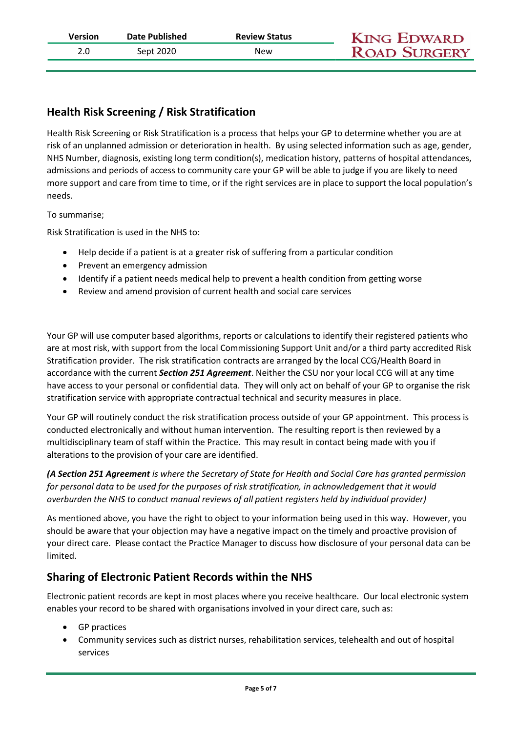| Version | Date Published | <b>Review Status</b> | <b>KING EDWARD</b>  |
|---------|----------------|----------------------|---------------------|
|         | Sept 2020      | New                  | <b>ROAD SURGERY</b> |

# Health Risk Screening / Risk Stratification

Health Risk Screening or Risk Stratification is a process that helps your GP to determine whether you are at risk of an unplanned admission or deterioration in health. By using selected information such as age, gender, NHS Number, diagnosis, existing long term condition(s), medication history, patterns of hospital attendances, admissions and periods of access to community care your GP will be able to judge if you are likely to need more support and care from time to time, or if the right services are in place to support the local population's needs.

To summarise;

Risk Stratification is used in the NHS to:

- Help decide if a patient is at a greater risk of suffering from a particular condition
- Prevent an emergency admission
- Identify if a patient needs medical help to prevent a health condition from getting worse
- Review and amend provision of current health and social care services

Your GP will use computer based algorithms, reports or calculations to identify their registered patients who are at most risk, with support from the local Commissioning Support Unit and/or a third party accredited Risk Stratification provider. The risk stratification contracts are arranged by the local CCG/Health Board in accordance with the current Section 251 Agreement. Neither the CSU nor your local CCG will at any time have access to your personal or confidential data. They will only act on behalf of your GP to organise the risk stratification service with appropriate contractual technical and security measures in place.

Your GP will routinely conduct the risk stratification process outside of your GP appointment. This process is conducted electronically and without human intervention. The resulting report is then reviewed by a multidisciplinary team of staff within the Practice. This may result in contact being made with you if alterations to the provision of your care are identified.

(A Section 251 Agreement is where the Secretary of State for Health and Social Care has granted permission for personal data to be used for the purposes of risk stratification, in acknowledgement that it would overburden the NHS to conduct manual reviews of all patient registers held by individual provider)

As mentioned above, you have the right to object to your information being used in this way. However, you should be aware that your objection may have a negative impact on the timely and proactive provision of your direct care. Please contact the Practice Manager to discuss how disclosure of your personal data can be limited.

# Sharing of Electronic Patient Records within the NHS

Electronic patient records are kept in most places where you receive healthcare. Our local electronic system enables your record to be shared with organisations involved in your direct care, such as:

- GP practices
- Community services such as district nurses, rehabilitation services, telehealth and out of hospital services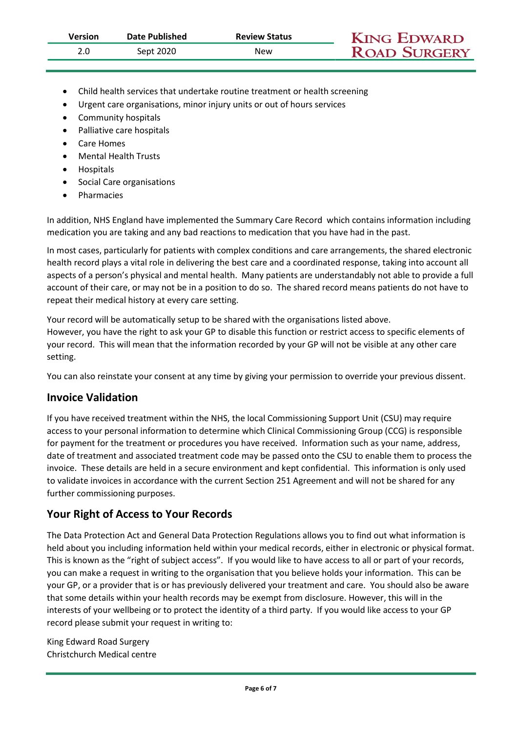| Version | Date Published | <b>Review Status</b> | <b>KING EDWARD</b>  |  |
|---------|----------------|----------------------|---------------------|--|
|         | Sept 2020      | New                  | <b>ROAD SURGERY</b> |  |
|         |                |                      |                     |  |

- Child health services that undertake routine treatment or health screening
- Urgent care organisations, minor injury units or out of hours services
- Community hospitals
- Palliative care hospitals
- Care Homes
- Mental Health Trusts
- **•** Hospitals
- Social Care organisations
- Pharmacies

In addition, NHS England have implemented the Summary Care Record which contains information including medication you are taking and any bad reactions to medication that you have had in the past.

In most cases, particularly for patients with complex conditions and care arrangements, the shared electronic health record plays a vital role in delivering the best care and a coordinated response, taking into account all aspects of a person's physical and mental health. Many patients are understandably not able to provide a full account of their care, or may not be in a position to do so. The shared record means patients do not have to repeat their medical history at every care setting.

Your record will be automatically setup to be shared with the organisations listed above. However, you have the right to ask your GP to disable this function or restrict access to specific elements of your record. This will mean that the information recorded by your GP will not be visible at any other care setting.

You can also reinstate your consent at any time by giving your permission to override your previous dissent.

### Invoice Validation

If you have received treatment within the NHS, the local Commissioning Support Unit (CSU) may require access to your personal information to determine which Clinical Commissioning Group (CCG) is responsible for payment for the treatment or procedures you have received. Information such as your name, address, date of treatment and associated treatment code may be passed onto the CSU to enable them to process the invoice. These details are held in a secure environment and kept confidential. This information is only used to validate invoices in accordance with the current Section 251 Agreement and will not be shared for any further commissioning purposes.

# Your Right of Access to Your Records

The Data Protection Act and General Data Protection Regulations allows you to find out what information is held about you including information held within your medical records, either in electronic or physical format. This is known as the "right of subject access". If you would like to have access to all or part of your records, you can make a request in writing to the organisation that you believe holds your information. This can be your GP, or a provider that is or has previously delivered your treatment and care. You should also be aware that some details within your health records may be exempt from disclosure. However, this will in the interests of your wellbeing or to protect the identity of a third party. If you would like access to your GP record please submit your request in writing to:

King Edward Road Surgery Christchurch Medical centre